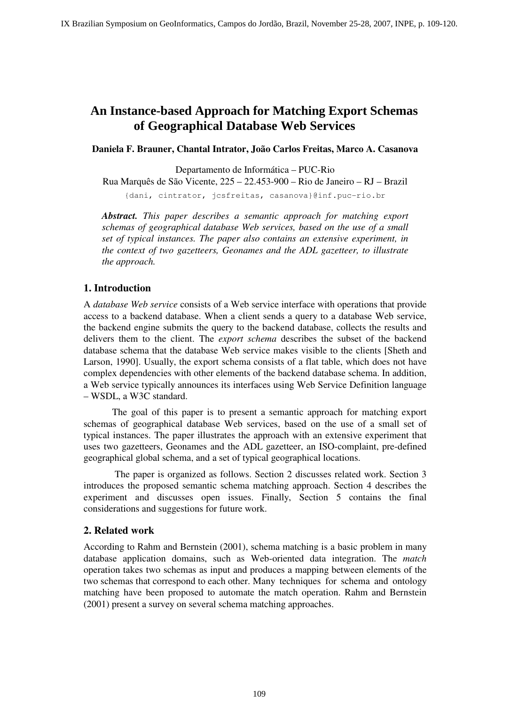# **An Instance-based Approach for Matching Export Schemas of Geographical Database Web Services**

**Daniela F. Brauner, Chantal Intrator, João Carlos Freitas, Marco A. Casanova** 

Departamento de Informática – PUC-Rio

Rua Marquês de São Vicente, 225 – 22.453-900 – Rio de Janeiro – RJ – Brazil

{dani, cintrator, jcsfreitas, casanova}@inf.puc-rio.br

*Abstract. This paper describes a semantic approach for matching export schemas of geographical database Web services, based on the use of a small set of typical instances. The paper also contains an extensive experiment, in the context of two gazetteers, Geonames and the ADL gazetteer, to illustrate the approach.* 

# **1. Introduction**

A *database Web service* consists of a Web service interface with operations that provide access to a backend database. When a client sends a query to a database Web service, the backend engine submits the query to the backend database, collects the results and delivers them to the client. The *export schema* describes the subset of the backend database schema that the database Web service makes visible to the clients [Sheth and Larson, 1990]. Usually, the export schema consists of a flat table, which does not have complex dependencies with other elements of the backend database schema. In addition, a Web service typically announces its interfaces using Web Service Definition language – WSDL, a W3C standard.

 The goal of this paper is to present a semantic approach for matching export schemas of geographical database Web services, based on the use of a small set of typical instances. The paper illustrates the approach with an extensive experiment that uses two gazetteers, Geonames and the ADL gazetteer, an ISO-complaint, pre-defined geographical global schema, and a set of typical geographical locations.

 The paper is organized as follows. Section 2 discusses related work. Section 3 introduces the proposed semantic schema matching approach. Section 4 describes the experiment and discusses open issues. Finally, Section 5 contains the final considerations and suggestions for future work.

# **2. Related work**

According to Rahm and Bernstein (2001), schema matching is a basic problem in many database application domains, such as Web-oriented data integration. The *match*  operation takes two schemas as input and produces a mapping between elements of the two schemas that correspond to each other. Many techniques for schema and ontology matching have been proposed to automate the match operation. Rahm and Bernstein (2001) present a survey on several schema matching approaches.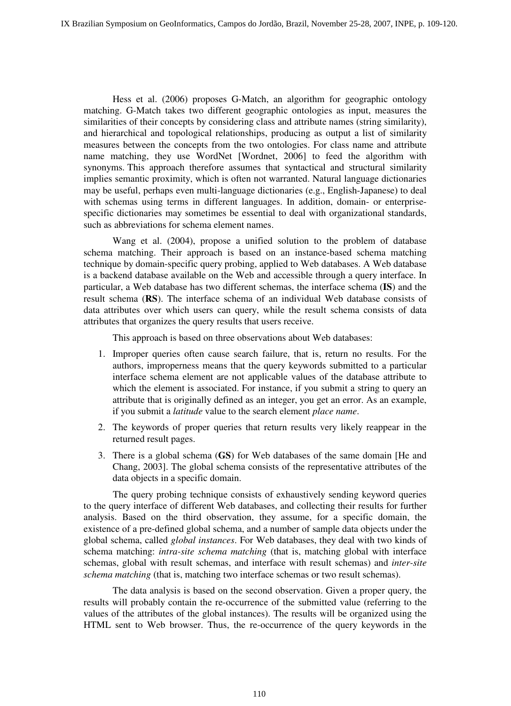Hess et al. (2006) proposes G-Match, an algorithm for geographic ontology matching. G-Match takes two different geographic ontologies as input, measures the similarities of their concepts by considering class and attribute names (string similarity), and hierarchical and topological relationships, producing as output a list of similarity measures between the concepts from the two ontologies. For class name and attribute name matching, they use WordNet [Wordnet, 2006] to feed the algorithm with synonyms. This approach therefore assumes that syntactical and structural similarity implies semantic proximity, which is often not warranted. Natural language dictionaries may be useful, perhaps even multi-language dictionaries (e.g., English-Japanese) to deal with schemas using terms in different languages. In addition, domain- or enterprisespecific dictionaries may sometimes be essential to deal with organizational standards, such as abbreviations for schema element names.

 Wang et al. (2004), propose a unified solution to the problem of database schema matching. Their approach is based on an instance-based schema matching technique by domain-specific query probing, applied to Web databases. A Web database is a backend database available on the Web and accessible through a query interface. In particular, a Web database has two different schemas, the interface schema (**IS**) and the result schema (**RS**). The interface schema of an individual Web database consists of data attributes over which users can query, while the result schema consists of data attributes that organizes the query results that users receive.

This approach is based on three observations about Web databases:

- 1. Improper queries often cause search failure, that is, return no results. For the authors, improperness means that the query keywords submitted to a particular interface schema element are not applicable values of the database attribute to which the element is associated. For instance, if you submit a string to query an attribute that is originally defined as an integer, you get an error. As an example, if you submit a *latitude* value to the search element *place name*.
- 2. The keywords of proper queries that return results very likely reappear in the returned result pages.
- 3. There is a global schema (**GS**) for Web databases of the same domain [He and Chang, 2003]. The global schema consists of the representative attributes of the data objects in a specific domain.

 The query probing technique consists of exhaustively sending keyword queries to the query interface of different Web databases, and collecting their results for further analysis. Based on the third observation, they assume, for a specific domain, the existence of a pre-defined global schema, and a number of sample data objects under the global schema, called *global instances*. For Web databases, they deal with two kinds of schema matching: *intra-site schema matching* (that is, matching global with interface schemas, global with result schemas, and interface with result schemas) and *inter-site schema matching* (that is, matching two interface schemas or two result schemas).

 The data analysis is based on the second observation. Given a proper query, the results will probably contain the re-occurrence of the submitted value (referring to the values of the attributes of the global instances). The results will be organized using the HTML sent to Web browser. Thus, the re-occurrence of the query keywords in the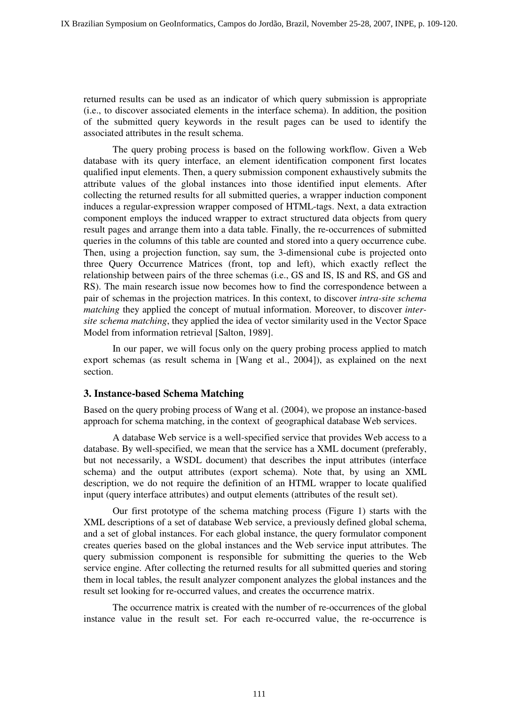returned results can be used as an indicator of which query submission is appropriate (i.e., to discover associated elements in the interface schema). In addition, the position of the submitted query keywords in the result pages can be used to identify the associated attributes in the result schema.

 The query probing process is based on the following workflow. Given a Web database with its query interface, an element identification component first locates qualified input elements. Then, a query submission component exhaustively submits the attribute values of the global instances into those identified input elements. After collecting the returned results for all submitted queries, a wrapper induction component induces a regular-expression wrapper composed of HTML-tags. Next, a data extraction component employs the induced wrapper to extract structured data objects from query result pages and arrange them into a data table. Finally, the re-occurrences of submitted queries in the columns of this table are counted and stored into a query occurrence cube. Then, using a projection function, say sum, the 3-dimensional cube is projected onto three Query Occurrence Matrices (front, top and left), which exactly reflect the relationship between pairs of the three schemas (i.e., GS and IS, IS and RS, and GS and RS). The main research issue now becomes how to find the correspondence between a pair of schemas in the projection matrices. In this context, to discover *intra-site schema matching* they applied the concept of mutual information. Moreover, to discover *intersite schema matching*, they applied the idea of vector similarity used in the Vector Space Model from information retrieval [Salton, 1989].

In our paper, we will focus only on the query probing process applied to match export schemas (as result schema in [Wang et al., 2004]), as explained on the next section.

# **3. Instance-based Schema Matching**

Based on the query probing process of Wang et al. (2004), we propose an instance-based approach for schema matching, in the context of geographical database Web services.

 A database Web service is a well-specified service that provides Web access to a database. By well-specified, we mean that the service has a XML document (preferably, but not necessarily, a WSDL document) that describes the input attributes (interface schema) and the output attributes (export schema). Note that, by using an XML description, we do not require the definition of an HTML wrapper to locate qualified input (query interface attributes) and output elements (attributes of the result set).

 Our first prototype of the schema matching process (Figure 1) starts with the XML descriptions of a set of database Web service, a previously defined global schema, and a set of global instances. For each global instance, the query formulator component creates queries based on the global instances and the Web service input attributes. The query submission component is responsible for submitting the queries to the Web service engine. After collecting the returned results for all submitted queries and storing them in local tables, the result analyzer component analyzes the global instances and the result set looking for re-occurred values, and creates the occurrence matrix.

 The occurrence matrix is created with the number of re-occurrences of the global instance value in the result set. For each re-occurred value, the re-occurrence is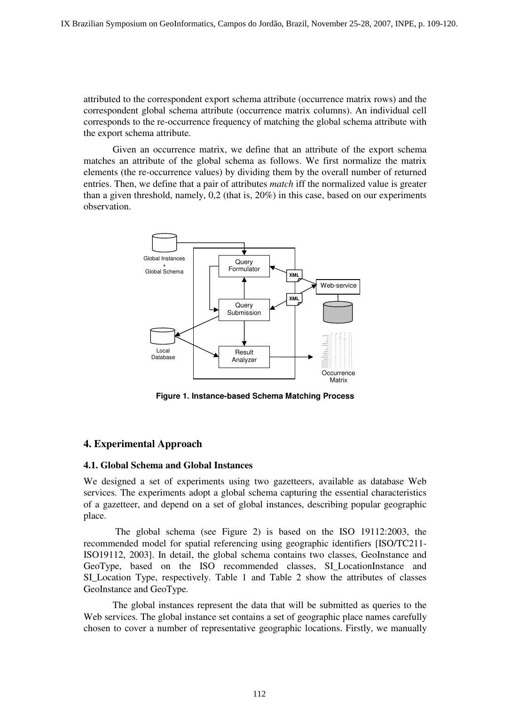attributed to the correspondent export schema attribute (occurrence matrix rows) and the correspondent global schema attribute (occurrence matrix columns). An individual cell corresponds to the re-occurrence frequency of matching the global schema attribute with the export schema attribute.

 Given an occurrence matrix, we define that an attribute of the export schema matches an attribute of the global schema as follows. We first normalize the matrix elements (the re-occurrence values) by dividing them by the overall number of returned entries. Then, we define that a pair of attributes *match* iff the normalized value is greater than a given threshold, namely, 0,2 (that is, 20%) in this case, based on our experiments observation.



**Figure 1. Instance-based Schema Matching Process** 

# **4. Experimental Approach**

#### **4.1. Global Schema and Global Instances**

We designed a set of experiments using two gazetteers, available as database Web services. The experiments adopt a global schema capturing the essential characteristics of a gazetteer, and depend on a set of global instances, describing popular geographic place.

 The global schema (see Figure 2) is based on the ISO 19112:2003, the recommended model for spatial referencing using geographic identifiers [ISO/TC211- ISO19112, 2003]. In detail, the global schema contains two classes, GeoInstance and GeoType, based on the ISO recommended classes, SI\_LocationInstance and SI\_Location Type, respectively. Table 1 and Table 2 show the attributes of classes GeoInstance and GeoType.

 The global instances represent the data that will be submitted as queries to the Web services. The global instance set contains a set of geographic place names carefully chosen to cover a number of representative geographic locations. Firstly, we manually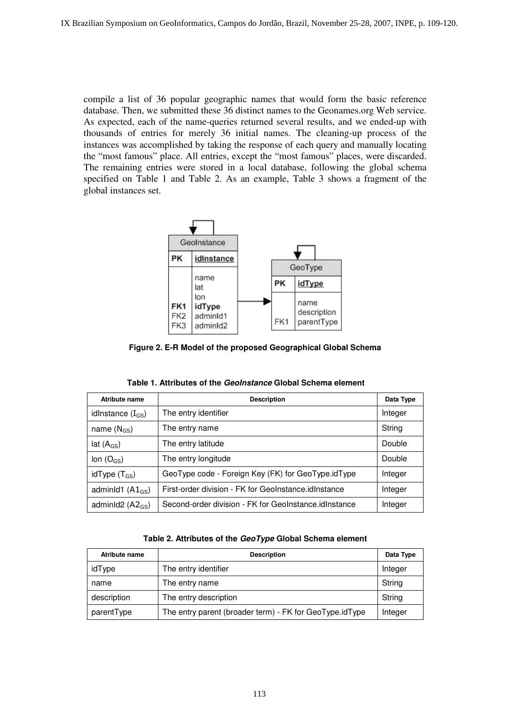compile a list of 36 popular geographic names that would form the basic reference database. Then, we submitted these 36 distinct names to the Geonames.org Web service. As expected, each of the name-queries returned several results, and we ended-up with thousands of entries for merely 36 initial names. The cleaning-up process of the instances was accomplished by taking the response of each query and manually locating the "most famous" place. All entries, except the "most famous" places, were discarded. The remaining entries were stored in a local database, following the global schema specified on Table 1 and Table 2. As an example, Table 3 shows a fragment of the global instances set.



**Figure 2. E-R Model of the proposed Geographical Global Schema** 

| <b>Atribute name</b>  | <b>Description</b>                                    | Data Type |
|-----------------------|-------------------------------------------------------|-----------|
| idlnstance $(I_{GS})$ | The entry identifier                                  | Integer   |
| name $(N_{GS})$       | The entry name                                        | String    |
| lat $(A_{GS})$        | The entry latitude                                    | Double    |
| lon $(O_{GS})$        | The entry longitude                                   | Double    |
| idType $(T_{GS})$     | GeoType code - Foreign Key (FK) for GeoType.idType    | Integer   |
| adminid1 $(A1_{GS})$  | First-order division - FK for GeoInstance.idInstance  | Integer   |
| adminId2 $(A2_{GS})$  | Second-order division - FK for GeoInstance.idInstance | Integer   |

**Table 1. Attributes of the GeoInstance Global Schema element** 

| Table 2. Attributes of the GeoType Global Schema element |  |  |
|----------------------------------------------------------|--|--|
|----------------------------------------------------------|--|--|

| Atribute name | <b>Description</b>                                      | Data Type |
|---------------|---------------------------------------------------------|-----------|
| idType        | The entry identifier                                    | Integer   |
| name          | The entry name                                          | String    |
| description   | The entry description                                   | String    |
| parentType    | The entry parent (broader term) - FK for GeoType.idType | Integer   |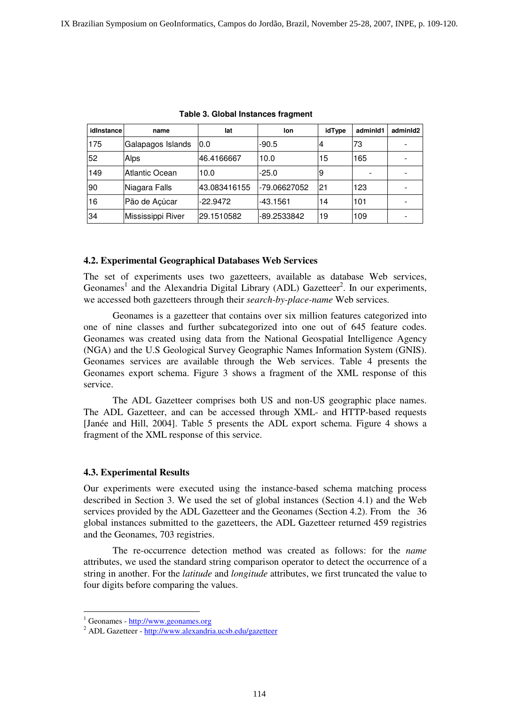| idInstance | name              | lat          | lon          | idType | adminId1 | adminId2 |
|------------|-------------------|--------------|--------------|--------|----------|----------|
| 175        | Galapagos Islands | 0.0          | $-90.5$      | 4      | 73       |          |
| 52         | Alps              | 46.4166667   | 10.0         | 15     | 165      |          |
| 149        | Atlantic Ocean    | 10.0         | $-25.0$      | 19     |          |          |
| 90         | Niagara Falls     | 43.083416155 | -79.06627052 | 21     | 123      |          |
| 16         | Pão de Açúcar     | $-22.9472$   | -43.1561     | 14     | 101      |          |
| 34         | Mississippi River | 29.1510582   | -89.2533842  | 19     | 109      |          |

**Table 3. Global Instances fragment** 

### **4.2. Experimental Geographical Databases Web Services**

The set of experiments uses two gazetteers, available as database Web services, Geonames<sup>1</sup> and the Alexandria Digital Library (ADL) Gazetteer<sup>2</sup>. In our experiments, we accessed both gazetteers through their *search-by-place-name* Web services.

 Geonames is a gazetteer that contains over six million features categorized into one of nine classes and further subcategorized into one out of 645 feature codes. Geonames was created using data from the National Geospatial Intelligence Agency (NGA) and the U.S Geological Survey Geographic Names Information System (GNIS). Geonames services are available through the Web services. Table 4 presents the Geonames export schema. Figure 3 shows a fragment of the XML response of this service.

 The ADL Gazetteer comprises both US and non-US geographic place names. The ADL Gazetteer, and can be accessed through XML- and HTTP-based requests [Janée and Hill, 2004]. Table 5 presents the ADL export schema. Figure 4 shows a fragment of the XML response of this service.

#### **4.3. Experimental Results**

Our experiments were executed using the instance-based schema matching process described in Section 3. We used the set of global instances (Section 4.1) and the Web services provided by the ADL Gazetteer and the Geonames (Section 4.2). From the 36 global instances submitted to the gazetteers, the ADL Gazetteer returned 459 registries and the Geonames, 703 registries.

 The re-occurrence detection method was created as follows: for the *name* attributes, we used the standard string comparison operator to detect the occurrence of a string in another. For the *latitude* and *longitude* attributes, we first truncated the value to four digits before comparing the values.

-

<sup>&</sup>lt;sup>1</sup> Geonames - http://www.geonames.org

<sup>&</sup>lt;sup>2</sup> ADL Gazetteer - http://www.alexandria.ucsb.edu/gazetteer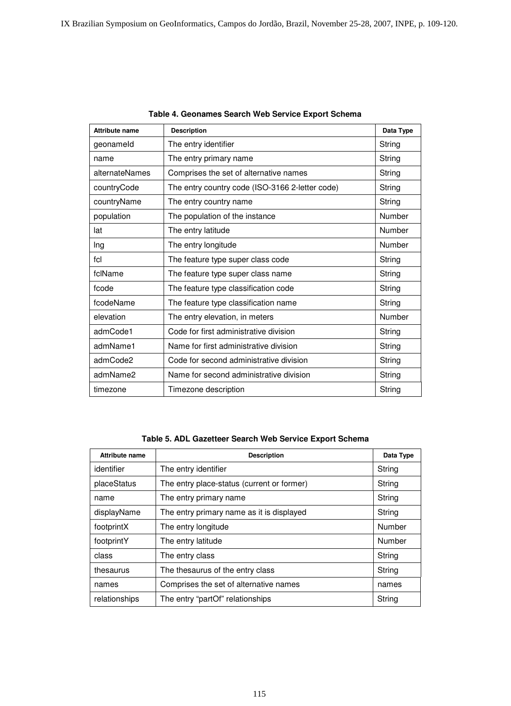| <b>Attribute name</b> | <b>Description</b>                              | Data Type |
|-----------------------|-------------------------------------------------|-----------|
| geonameld             | The entry identifier                            | String    |
| name                  | The entry primary name                          | String    |
| alternateNames        | Comprises the set of alternative names          | String    |
| countryCode           | The entry country code (ISO-3166 2-letter code) | String    |
| countryName           | The entry country name                          | String    |
| population            | The population of the instance                  | Number    |
| lat                   | The entry latitude                              | Number    |
| Ing                   | The entry longitude                             | Number    |
| fcl                   | The feature type super class code               | String    |
| fclName               | The feature type super class name               | String    |
| fcode                 | The feature type classification code            | String    |
| fcodeName             | The feature type classification name            | String    |
| elevation             | The entry elevation, in meters                  | Number    |
| admCode1              | Code for first administrative division          | String    |
| admName1              | Name for first administrative division          | String    |
| admCode2              | Code for second administrative division         | String    |
| admName2              | Name for second administrative division         | String    |
| timezone              | Timezone description                            | String    |

#### **Table 4. Geonames Search Web Service Export Schema**

**Table 5. ADL Gazetteer Search Web Service Export Schema** 

| Attribute name | <b>Description</b>                         | Data Type |
|----------------|--------------------------------------------|-----------|
| identifier     | The entry identifier                       | String    |
| placeStatus    | The entry place-status (current or former) | String    |
| name           | The entry primary name                     | String    |
| displayName    | The entry primary name as it is displayed  | String    |
| footprintX     | The entry longitude                        | Number    |
| footprintY     | The entry latitude                         | Number    |
| class          | The entry class                            | String    |
| thesaurus      | The thesaurus of the entry class           | String    |
| names          | Comprises the set of alternative names     | names     |
| relationships  | The entry "partOf" relationships           | String    |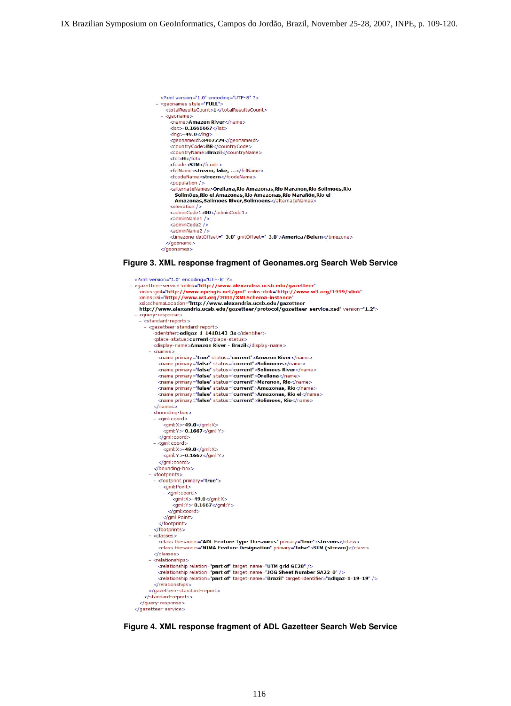

#### **Figure 3. XML response fragment of Geonames.org Search Web Service**

```
<?xml version="1.0" encoding="UTF-8" ?>
- <gazetteer-service xmlns="http://www.alexandria.ucsb.edu/gazetteer"
    xmlns:gml="http://www.opengis.net/gml" xmlns:xlink="http://www.w3.org/1999/xlink"<br>xmlns:xsi="http://www.opengis.net/gml" xmlns:xlink="http://www.w3.org/1999/xlink"<br>xmlns:xsi="http://www.w3.org/2001/XMLSchema-instance"
   xsi:schemaLocation="http://www.alexandria.ucsb.edu/gazetteer<br>xsi:schemaLocation="http://www.alexandria.ucsb.edu/gazetteer<br>http://www.alexandria.ucsb.edu/gazetteer/protocol/gazetteer-service.xsd" version="1.2">
   <query-response><br>- <standard-reports>
      - <gazetteer-standard-report:
           dentifier>adlgaz-1-1410143-3a</identifier>
           <place-status>current</place-status:
           <display-name>Amazon River - Brazil</display-name>
         - <names><name primary="true" status="current">Amazon River</name>
             <name primary="false" status="current">Solimoens</name
             <name primary="false" status="current">Salimoes River</name>
             <name primary="false" status="current">Orellana</name>
             kname primary="false" status="current">Maranon, Rio</name>
             <name primary="false" status="current">Amazonas, Rio</name><br><name primary="false" status="current">Amazonas, Rio el</name>
             <name primary="false" status="current">Solimoes, Rio</name>
           \langle/names
         - <bounding-box>
           - <gml:coord>
                <ml:X>-49.0</ml:X><br><ml:Y>-49.0</ml:X>
           </gml:coord><br>- <gml:coord>
               <gml:X>-49.0</gml:X><br><gml:Y>-0.1667</gml:Y>
             </aml:coord>
            </bounding-box>
         - <footprints>
           - <footprint primary="true">
             - <gml:Point>
               - <gml:coord>
                  \langle gml; X \rangle - 49.0\langle gml; X \rangle<br>
\langle gml; Y \rangle - 0.1667\langle gml; Y \rangle</gml:Point>
             </footprint>
            </footprints>
         - <classes >
             <class thesaurus="ADL Feature Type Thesaurus" primary="true">streams</class>
             <class thesaurus="NIMA Feature Designation" primary="false">STM (stream)</class>
           </classes>
         - < relationships:
             <relationship relation="part of" target-name="UTM grid GE28" />
             <relationship relation="part of" target-name="JOG Sheet Number SA22-0" />
             <relationship relation="part of" target-name="Brazil" target-identifier="adlgaz-1-19-19" />
           </relationships>
         </gazetteer-standard-report>
      </standard-reports>
    </query-response>
 </gazetteer-service>
```
 **Figure 4. XML response fragment of ADL Gazetteer Search Web Service**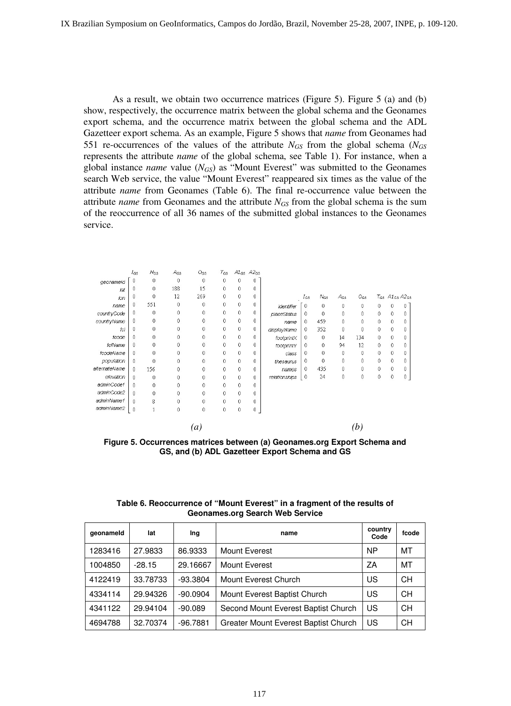As a result, we obtain two occurrence matrices (Figure 5). Figure 5 (a) and (b) show, respectively, the occurrence matrix between the global schema and the Geonames export schema, and the occurrence matrix between the global schema and the ADL Gazetteer export schema. As an example, Figure 5 shows that *name* from Geonames had 551 re-occurrences of the values of the attribute  $N_{GS}$  from the global schema ( $N_{GS}$ ) represents the attribute *name* of the global schema, see Table 1). For instance, when a global instance *name* value (*NGS*) as "Mount Everest" was submitted to the Geonames search Web service, the value "Mount Everest" reappeared six times as the value of the attribute *name* from Geonames (Table 6). The final re-occurrence value between the attribute *name* from Geonames and the attribute  $N_{GS}$  from the global schema is the sum of the reoccurrence of all 36 names of the submitted global instances to the Geonames service.

|               | Ics          | $N_{GS}$ | Acs | $O_{GS}$ | $T_{GS}$     |              | $A1_{GS}$ $A2_{GS}$ |               |              |          |          |          |   |   |               |
|---------------|--------------|----------|-----|----------|--------------|--------------|---------------------|---------------|--------------|----------|----------|----------|---|---|---------------|
| geonameid     | $\theta$     | 0        | 0   | $\theta$ | 0            | 0            | 0                   |               |              |          |          |          |   |   |               |
| lat           | 0            | 0        | 188 | 15       | 0            | 0            | 0                   |               |              |          |          |          |   |   |               |
| ion           | 0            | 0        | 12  | 269      | $\mathbf{0}$ | 0            | 0                   |               | $I_{GS}$     | $N_{GS}$ | $A_{GS}$ | $O_{GS}$ |   |   | TGS A1GS A2GS |
| name          | $\theta$     | 551      | 0   | 0        | 0            | 0            | 0                   | identifier    | $\theta$     | 0        | 0        | 0        | 0 | 0 | Û             |
| countryCode   | $\mathbf 0$  | $\theta$ | 0   | 0        | 0            | $\mathbf 0$  | 0                   | placeStatus   | $\mathbf{0}$ | 0        | 0        | 0        | 0 | 0 |               |
| countryName   | $\theta$     | 0        | 0   | 0        | 0            | 0            | 0                   | name          | $\mathbf{0}$ | 459      | 0        | 0        | 0 | 0 | n             |
| fci           | 0            | 0        | 0   | 0        | 0            | 0            | 0                   | displayName   | $\theta$     | 352      | 0        | 0        | 0 | 0 | 0             |
| fcode         | $\theta$     | 0        | 0   | 0        | $\mathbf{0}$ | 0            | 0                   | footprintX    | 0            | 0        | 14       | 134      | 0 | 0 | 0             |
| fclName       | $\theta$     | 0        | 0   | 0        | $\mathbf{0}$ | 0            | 0                   | footprintY    | $\theta$     | 0        | 94       | 12       | 0 | 0 | Ω             |
| fcodeName     | $\mathbf 0$  | 0        | 0   | 0        | $\theta$     | 0            | 0                   | class         | $\theta$     | 0        | 0        | $\theta$ | 0 | 0 | 0             |
| population    | $\mathbf{0}$ | $\theta$ | 0   | 0        | 0            | $\mathbf{0}$ | 0                   | thesaurus     | $\mathbf{0}$ | 0        | 0        | 0        | 0 | 0 | 0             |
| alternateName | $\mathbf{0}$ | 156      | 0   | 0        | $\mathbf{0}$ | 0            | 0                   | names         | $\theta$     | 435      | 0        | 0        | 0 | 0 | 0             |
| elevation     | $\mathbf{0}$ | 0        | 0   | 0        | 0            | 0            | 0                   | relationships | 0            | 24       | 0        | 0        | 0 | 0 | 0             |
| adminCode1    | $\theta$     | 0        | 0   | 0        | $\bf{0}$     | 0            | 0                   |               |              |          |          |          |   |   |               |
| adminCode2    | $\theta$     | 0        | 0   | 0        | $\theta$     | $\mathbf{0}$ | 0                   |               |              |          |          |          |   |   |               |
| adminName1    | $\theta$     | 8        | 0   | 0        | 0            | 0            | 0                   |               |              |          |          |          |   |   |               |
| adminName2    | $\theta$     | 1        | 0   | 0        | 0            | 0            | 0                   |               |              |          |          |          |   |   |               |
|               |              |          |     | (a)      |              |              |                     |               |              |          |          | (b)      |   |   |               |

**Figure 5. Occurrences matrices between (a) Geonames.org Export Schema and GS, and (b) ADL Gazetteer Export Schema and GS** 

| Table 6. Reoccurrence of "Mount Everest" in a fragment of the results of |
|--------------------------------------------------------------------------|
| Geonames.org Search Web Service                                          |

| geonameld | lat      | Ing        | name                                 | country<br>Code | fcode     |
|-----------|----------|------------|--------------------------------------|-----------------|-----------|
| 1283416   | 27.9833  | 86.9333    | <b>Mount Everest</b>                 | <b>NP</b>       | MT        |
| 1004850   | $-28.15$ | 29.16667   | <b>Mount Everest</b>                 | ZA              | MT        |
| 4122419   | 33.78733 | $-93.3804$ | Mount Everest Church                 | US              | <b>CH</b> |
| 4334114   | 29.94326 | $-90.0904$ | Mount Everest Baptist Church         | US              | <b>CH</b> |
| 4341122   | 29.94104 | $-90.089$  | Second Mount Everest Baptist Church  | US              | <b>CH</b> |
| 4694788   | 32.70374 | $-96.7881$ | Greater Mount Everest Baptist Church | US              | <b>CH</b> |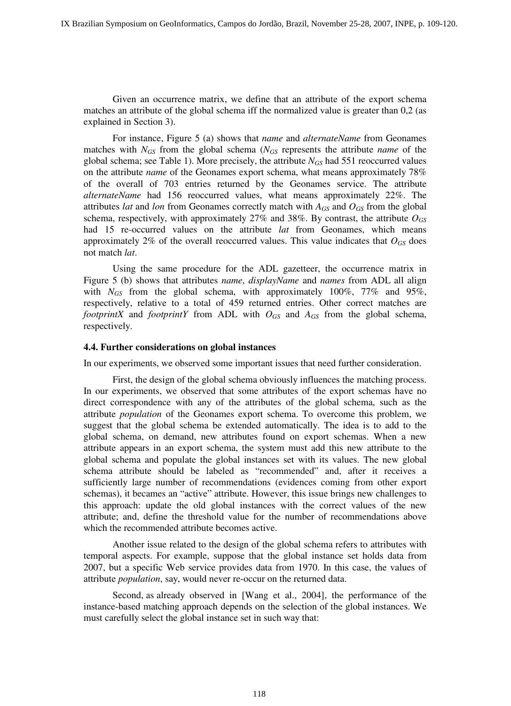Given an occurrence matrix, we define that an attribute of the export schema matches an attribute of the global schema iff the normalized value is greater than 0,2 (as explained in Section 3).

 For instance, Figure 5 (a) shows that *name* and *alternateName* from Geonames matches with *NGS* from the global schema (*NGS* represents the attribute *name* of the global schema; see Table 1). More precisely, the attribute  $N_{GS}$  had 551 reoccurred values on the attribute *name* of the Geonames export schema, what means approximately 78% of the overall of 703 entries returned by the Geonames service. The attribute *alternateName* had 156 reoccurred values, what means approximately 22%. The attributes *lat* and *lon* from Geonames correctly match with *AGS* and *OGS* from the global schema, respectively, with approximately  $27\%$  and  $38\%$ . By contrast, the attribute  $O_{GS}$ had 15 re-occurred values on the attribute *lat* from Geonames, which means approximately 2% of the overall reoccurred values. This value indicates that  $O_{GS}$  does not match *lat*.

 Using the same procedure for the ADL gazetteer, the occurrence matrix in Figure 5 (b) shows that attributes *name*, *displayName* and *names* from ADL all align with *NGS* from the global schema, with approximately 100%, 77% and 95%, respectively, relative to a total of 459 returned entries. Other correct matches are *footprintX* and *footprintY* from ADL with  $O_{GS}$  and  $A_{GS}$  from the global schema, respectively.

#### **4.4. Further considerations on global instances**

In our experiments, we observed some important issues that need further consideration.

 First, the design of the global schema obviously influences the matching process. In our experiments, we observed that some attributes of the export schemas have no direct correspondence with any of the attributes of the global schema, such as the attribute *population* of the Geonames export schema. To overcome this problem, we suggest that the global schema be extended automatically. The idea is to add to the global schema, on demand, new attributes found on export schemas. When a new attribute appears in an export schema, the system must add this new attribute to the global schema and populate the global instances set with its values. The new global schema attribute should be labeled as "recommended" and, after it receives a sufficiently large number of recommendations (evidences coming from other export schemas), it becames an "active" attribute. However, this issue brings new challenges to this approach: update the old global instances with the correct values of the new attribute; and, define the threshold value for the number of recommendations above which the recommended attribute becomes active.

 Another issue related to the design of the global schema refers to attributes with temporal aspects. For example, suppose that the global instance set holds data from 2007, but a specific Web service provides data from 1970. In this case, the values of attribute *population*, say, would never re-occur on the returned data.

 Second, as already observed in [Wang et al., 2004], the performance of the instance-based matching approach depends on the selection of the global instances. We must carefully select the global instance set in such way that: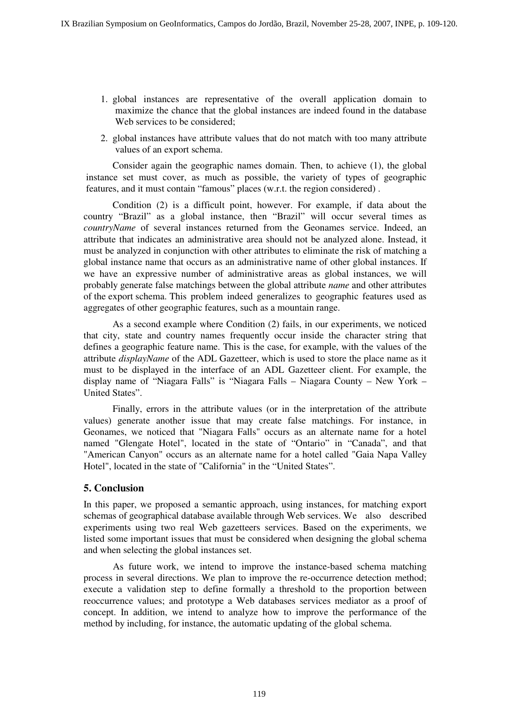- 1. global instances are representative of the overall application domain to maximize the chance that the global instances are indeed found in the database Web services to be considered;
- 2. global instances have attribute values that do not match with too many attribute values of an export schema.

 Consider again the geographic names domain. Then, to achieve (1), the global instance set must cover, as much as possible, the variety of types of geographic features, and it must contain "famous" places (w.r.t. the region considered) .

 Condition (2) is a difficult point, however. For example, if data about the country "Brazil" as a global instance, then "Brazil" will occur several times as *countryName* of several instances returned from the Geonames service. Indeed, an attribute that indicates an administrative area should not be analyzed alone. Instead, it must be analyzed in conjunction with other attributes to eliminate the risk of matching a global instance name that occurs as an administrative name of other global instances. If we have an expressive number of administrative areas as global instances, we will probably generate false matchings between the global attribute *name* and other attributes of the export schema. This problem indeed generalizes to geographic features used as aggregates of other geographic features, such as a mountain range.

 As a second example where Condition (2) fails, in our experiments, we noticed that city, state and country names frequently occur inside the character string that defines a geographic feature name. This is the case, for example, with the values of the attribute *displayName* of the ADL Gazetteer, which is used to store the place name as it must to be displayed in the interface of an ADL Gazetteer client. For example, the display name of "Niagara Falls" is "Niagara Falls – Niagara County – New York – United States".

 Finally, errors in the attribute values (or in the interpretation of the attribute values) generate another issue that may create false matchings. For instance, in Geonames, we noticed that "Niagara Falls" occurs as an alternate name for a hotel named "Glengate Hotel", located in the state of "Ontario" in "Canada", and that "American Canyon" occurs as an alternate name for a hotel called "Gaia Napa Valley Hotel", located in the state of "California" in the "United States".

# **5. Conclusion**

In this paper, we proposed a semantic approach, using instances, for matching export schemas of geographical database available through Web services. We also described experiments using two real Web gazetteers services. Based on the experiments, we listed some important issues that must be considered when designing the global schema and when selecting the global instances set.

 As future work, we intend to improve the instance-based schema matching process in several directions. We plan to improve the re-occurrence detection method; execute a validation step to define formally a threshold to the proportion between reoccurrence values; and prototype a Web databases services mediator as a proof of concept. In addition, we intend to analyze how to improve the performance of the method by including, for instance, the automatic updating of the global schema.